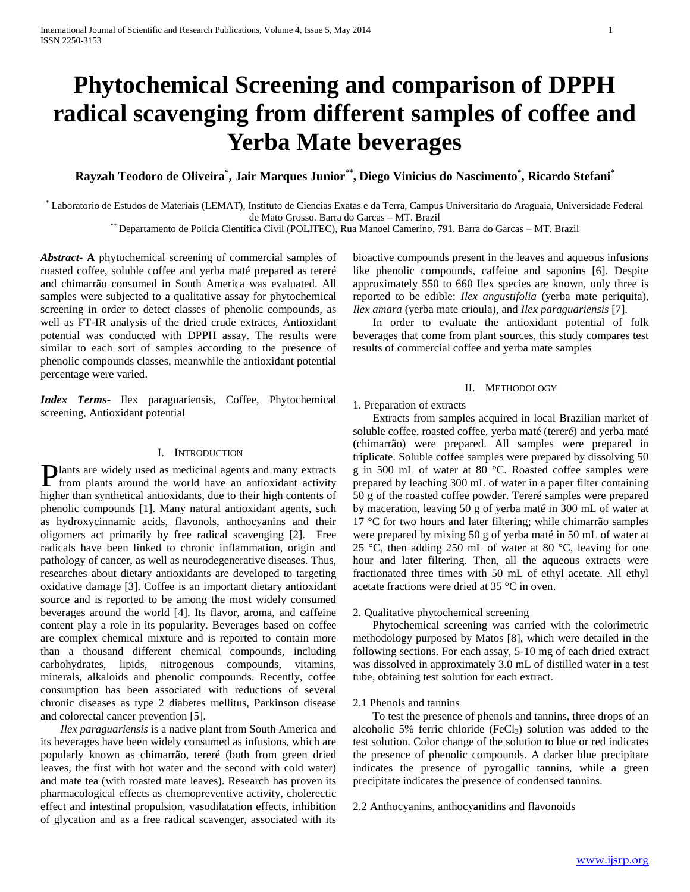# **Phytochemical Screening and comparison of DPPH radical scavenging from different samples of coffee and Yerba Mate beverages**

**Rayzah Teodoro de Oliveira\* , Jair Marques Junior\*\*, Diego Vinicius do Nascimento\* , Ricardo Stefani\***

\* Laboratorio de Estudos de Materiais (LEMAT), Instituto de Ciencias Exatas e da Terra, Campus Universitario do Araguaia, Universidade Federal de Mato Grosso. Barra do Garcas – MT. Brazil

\*\* Departamento de Policia Cientifica Civil (POLITEC), Rua Manoel Camerino, 791. Barra do Garcas – MT. Brazil

*Abstract***- A** phytochemical screening of commercial samples of roasted coffee, soluble coffee and yerba maté prepared as tereré and chimarrão consumed in South America was evaluated. All samples were subjected to a qualitative assay for phytochemical screening in order to detect classes of phenolic compounds, as well as FT-IR analysis of the dried crude extracts, Antioxidant potential was conducted with DPPH assay. The results were similar to each sort of samples according to the presence of phenolic compounds classes, meanwhile the antioxidant potential percentage were varied.

*Index Terms*- Ilex paraguariensis, Coffee, Phytochemical screening, Antioxidant potential

## I. INTRODUCTION

**P** lants are widely used as medicinal agents and many extracts from plants around the world have an antioxidant activity from plants around the world have an antioxidant activity higher than synthetical antioxidants, due to their high contents of phenolic compounds [1]. Many natural antioxidant agents, such as hydroxycinnamic acids, flavonols, anthocyanins and their oligomers act primarily by free radical scavenging [2]. Free radicals have been linked to chronic inflammation, origin and pathology of cancer, as well as neurodegenerative diseases. Thus, researches about dietary antioxidants are developed to targeting oxidative damage [3]. Coffee is an important dietary antioxidant source and is reported to be among the most widely consumed beverages around the world [4]. Its flavor, aroma, and caffeine content play a role in its popularity. Beverages based on coffee are complex chemical mixture and is reported to contain more than a thousand different chemical compounds, including carbohydrates, lipids, nitrogenous compounds, vitamins, minerals, alkaloids and phenolic compounds. Recently, coffee consumption has been associated with reductions of several chronic diseases as type 2 diabetes mellitus, Parkinson disease and colorectal cancer prevention [5].

 *Ilex paraguariensis* is a native plant from South America and its beverages have been widely consumed as infusions, which are popularly known as chimarrão, tereré (both from green dried leaves, the first with hot water and the second with cold water) and mate tea (with roasted mate leaves). Research has proven its pharmacological effects as chemopreventive activity, cholerectic effect and intestinal propulsion, vasodilatation effects, inhibition of glycation and as a free radical scavenger, associated with its

bioactive compounds present in the leaves and aqueous infusions like phenolic compounds, caffeine and saponins [6]. Despite approximately 550 to 660 Ilex species are known, only three is reported to be edible: *Ilex angustifolia* (yerba mate periquita), *Ilex amara* (yerba mate crioula), and *Ilex paraguariensis* [7].

 In order to evaluate the antioxidant potential of folk beverages that come from plant sources, this study compares test results of commercial coffee and yerba mate samples

# II. METHODOLOGY

1. Preparation of extracts

 Extracts from samples acquired in local Brazilian market of soluble coffee, roasted coffee, yerba maté (tereré) and yerba maté (chimarrão) were prepared. All samples were prepared in triplicate. Soluble coffee samples were prepared by dissolving 50 g in 500 mL of water at 80 °C. Roasted coffee samples were prepared by leaching 300 mL of water in a paper filter containing 50 g of the roasted coffee powder. Tereré samples were prepared by maceration, leaving 50 g of yerba maté in 300 mL of water at 17 °C for two hours and later filtering; while chimarrão samples were prepared by mixing 50 g of yerba maté in 50 mL of water at 25 °C, then adding 250 mL of water at 80 °C, leaving for one hour and later filtering. Then, all the aqueous extracts were fractionated three times with 50 mL of ethyl acetate. All ethyl acetate fractions were dried at 35 °C in oven.

## 2. Qualitative phytochemical screening

 Phytochemical screening was carried with the colorimetric methodology purposed by Matos [8], which were detailed in the following sections. For each assay, 5-10 mg of each dried extract was dissolved in approximately 3.0 mL of distilled water in a test tube, obtaining test solution for each extract.

#### 2.1 Phenols and tannins

 To test the presence of phenols and tannins, three drops of an alcoholic 5% ferric chloride (FeCl<sub>3</sub>) solution was added to the test solution. Color change of the solution to blue or red indicates the presence of phenolic compounds. A darker blue precipitate indicates the presence of pyrogallic tannins, while a green precipitate indicates the presence of condensed tannins.

2.2 Anthocyanins, anthocyanidins and flavonoids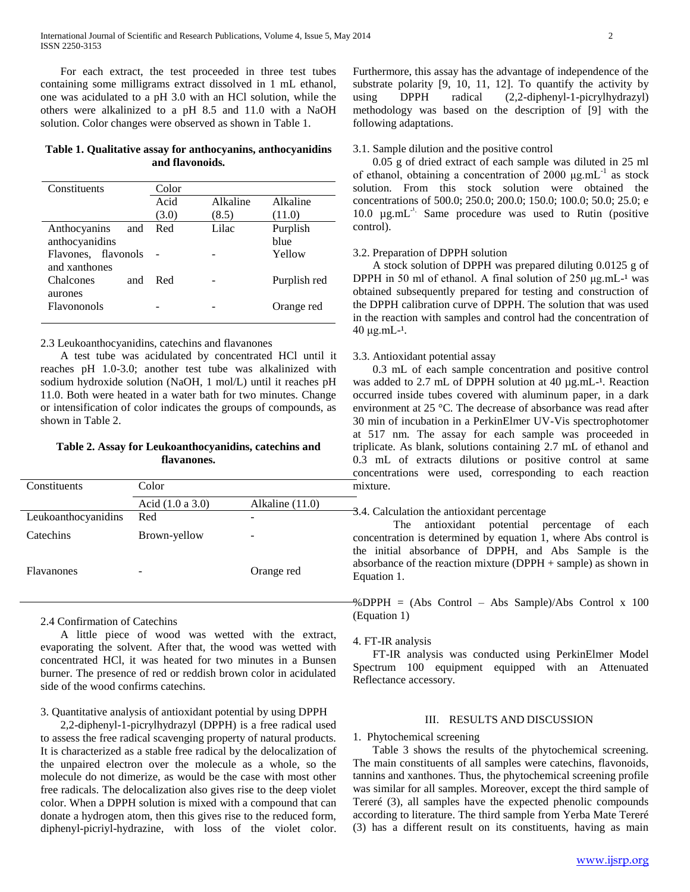For each extract, the test proceeded in three test tubes containing some milligrams extract dissolved in 1 mL ethanol, one was acidulated to a pH 3.0 with an HCl solution, while the others were alkalinized to a pH 8.5 and 11.0 with a NaOH solution. Color changes were observed as shown in Table 1.

# **Table 1. Qualitative assay for anthocyanins, anthocyanidins and flavonoids.**

| Constituents                         | Color |          |              |  |  |
|--------------------------------------|-------|----------|--------------|--|--|
|                                      | Acid  | Alkaline | Alkaline     |  |  |
|                                      | (3.0) | (8.5)    | (11.0)       |  |  |
| Anthocyanins<br>and                  | Red   | Lilac    | Purplish     |  |  |
| anthocyanidins                       |       |          | hlue         |  |  |
| Flavones, flavonols<br>and xanthones |       |          | Yellow       |  |  |
| Chalcones<br>and                     | Red   |          | Purplish red |  |  |
| aurones<br>Flavononols               |       |          | Orange red   |  |  |

## 2.3 Leukoanthocyanidins, catechins and flavanones

 A test tube was acidulated by concentrated HCl until it reaches pH 1.0-3.0; another test tube was alkalinized with sodium hydroxide solution (NaOH, 1 mol/L) until it reaches pH 11.0. Both were heated in a water bath for two minutes. Change or intensification of color indicates the groups of compounds, as shown in Table 2.

# **Table 2. Assay for Leukoanthocyanidins, catechins and flavanones.**

| Constituents        | Color              |                 |
|---------------------|--------------------|-----------------|
|                     | Acid $(1.0 a 3.0)$ | Alkaline (11.0) |
| Leukoanthocyanidins | Red                |                 |
| Catechins           | Brown-yellow       | -               |
| <b>Flavanones</b>   |                    | Orange red      |

2.4 Confirmation of Catechins

 A little piece of wood was wetted with the extract, evaporating the solvent. After that, the wood was wetted with concentrated HCl, it was heated for two minutes in a Bunsen burner. The presence of red or reddish brown color in acidulated side of the wood confirms catechins.

# 3. Quantitative analysis of antioxidant potential by using DPPH

 2,2-diphenyl-1-picrylhydrazyl (DPPH) is a free radical used to assess the free radical scavenging property of natural products. It is characterized as a stable free radical by the delocalization of the unpaired electron over the molecule as a whole, so the molecule do not dimerize, as would be the case with most other free radicals. The delocalization also gives rise to the deep violet color. When a DPPH solution is mixed with a compound that can donate a hydrogen atom, then this gives rise to the reduced form, diphenyl-picriyl-hydrazine, with loss of the violet color.

Furthermore, this assay has the advantage of independence of the substrate polarity [9, 10, 11, 12]. To quantify the activity by using DPPH radical (2,2-diphenyl-1-picrylhydrazyl) methodology was based on the description of [9] with the following adaptations.

## 3.1. Sample dilution and the positive control

 0.05 g of dried extract of each sample was diluted in 25 ml of ethanol, obtaining a concentration of 2000  $\mu$ g.mL<sup>-1</sup> as stock solution. From this stock solution were obtained the concentrations of 500.0; 250.0; 200.0; 150.0; 100.0; 50.0; 25.0; e 10.0  $\mu$ g.mL<sup>-1</sup>. Same procedure was used to Rutin (positive control).

## 3.2. Preparation of DPPH solution

 A stock solution of DPPH was prepared diluting 0.0125 g of DPPH in 50 ml of ethanol. A final solution of 250  $\mu$ g.mL $^{-1}$  was obtained subsequently prepared for testing and construction of the DPPH calibration curve of DPPH. The solution that was used in the reaction with samples and control had the concentration of  $40 \mu g.mL^{-1}$ .

#### 3.3. Antioxidant potential assay

 0.3 mL of each sample concentration and positive control was added to  $2.7$  mL of DPPH solution at  $40 \mu g.mL^{-1}$ . Reaction occurred inside tubes covered with aluminum paper, in a dark environment at 25 °C. The decrease of absorbance was read after 30 min of incubation in a PerkinElmer UV-Vis spectrophotomer at 517 nm. The assay for each sample was proceeded in triplicate. As blank, solutions containing 2.7 mL of ethanol and 0.3 mL of extracts dilutions or positive control at same concentrations were used, corresponding to each reaction mixture.

# 3.4. Calculation the antioxidant percentage

The antioxidant potential percentage of each concentration is determined by equation 1, where Abs control is the initial absorbance of DPPH, and Abs Sample is the absorbance of the reaction mixture (DPPH + sample) as shown in Equation 1.

 $\%$  DPPH = (Abs Control – Abs Sample)/Abs Control x 100 (Equation 1)

#### 4. FT-IR analysis

 FT-IR analysis was conducted using PerkinElmer Model Spectrum 100 equipment equipped with an Attenuated Reflectance accessory.

## III. RESULTS AND DISCUSSION

#### 1. Phytochemical screening

 Table 3 shows the results of the phytochemical screening. The main constituents of all samples were catechins, flavonoids, tannins and xanthones. Thus, the phytochemical screening profile was similar for all samples. Moreover, except the third sample of Tereré (3), all samples have the expected phenolic compounds according to literature. The third sample from Yerba Mate Tereré (3) has a different result on its constituents, having as main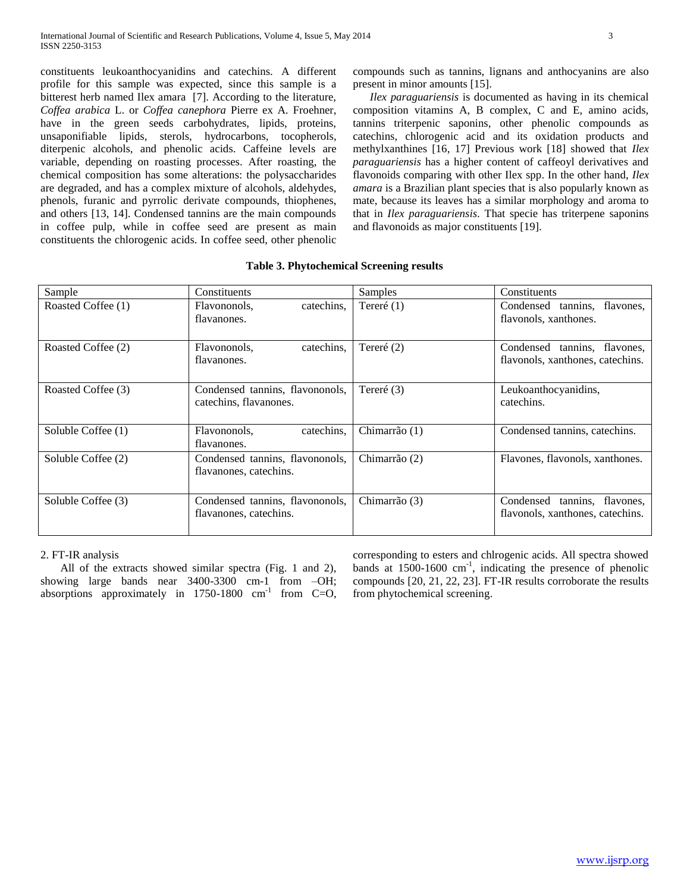constituents leukoanthocyanidins and catechins. A different profile for this sample was expected, since this sample is a bitterest herb named Ilex amara [7]. According to the literature, *Coffea arabica* L. or *Coffea canephora* Pierre ex A. Froehner, have in the green seeds carbohydrates, lipids, proteins, unsaponifiable lipids, sterols, hydrocarbons, tocopherols, diterpenic alcohols, and phenolic acids. Caffeine levels are variable, depending on roasting processes. After roasting, the chemical composition has some alterations: the polysaccharides are degraded, and has a complex mixture of alcohols, aldehydes, phenols, furanic and pyrrolic derivate compounds, thiophenes, and others [13, 14]. Condensed tannins are the main compounds in coffee pulp, while in coffee seed are present as main constituents the chlorogenic acids. In coffee seed, other phenolic

compounds such as tannins, lignans and anthocyanins are also present in minor amounts [15].

 *Ilex paraguariensis* is documented as having in its chemical composition vitamins A, B complex, C and E, amino acids, tannins triterpenic saponins, other phenolic compounds as catechins, chlorogenic acid and its oxidation products and methylxanthines [16, 17] Previous work [18] showed that *Ilex paraguariensis* has a higher content of caffeoyl derivatives and flavonoids comparing with other Ilex spp. In the other hand, *Ilex amara* is a Brazilian plant species that is also popularly known as mate, because its leaves has a similar morphology and aroma to that in *Ilex paraguariensis*. That specie has triterpene saponins and flavonoids as major constituents [19].

| Sample             | Constituents                                              | Samples       | Constituents                                                        |  |  |
|--------------------|-----------------------------------------------------------|---------------|---------------------------------------------------------------------|--|--|
| Roasted Coffee (1) | Flavononols,<br>catechins,<br>flavanones.                 | Tereré $(1)$  | Condensed tannins,<br>flavones,<br>flavonols, xanthones.            |  |  |
| Roasted Coffee (2) | catechins.<br>Flavononols,<br>flavanones.                 | Tereré $(2)$  | Condensed tannins, flavones,<br>flavonols, xanthones, catechins.    |  |  |
| Roasted Coffee (3) | Condensed tannins, flavononols,<br>catechins, flavanones. | Tereré $(3)$  | Leukoanthocyanidins,<br>catechins.                                  |  |  |
| Soluble Coffee (1) | catechins.<br>Flavononols,<br>flavanones.                 | Chimarrão (1) | Condensed tannins, catechins.                                       |  |  |
| Soluble Coffee (2) | Condensed tannins, flavononols,<br>flavanones, catechins. | Chimarrão (2) | Flavones, flavonols, xanthones.                                     |  |  |
| Soluble Coffee (3) | Condensed tannins, flavononols,<br>flavanones, catechins. | Chimarrão (3) | Condensed<br>tannins, flavones,<br>flavonols, xanthones, catechins. |  |  |

## **Table 3. Phytochemical Screening results**

2. FT-IR analysis

 All of the extracts showed similar spectra (Fig. 1 and 2), showing large bands near 3400-3300 cm-1 from –OH; absorptions approximately in  $1750-1800$  cm<sup>-1</sup> from C=O, corresponding to esters and chlrogenic acids. All spectra showed bands at  $1500-1600$  cm<sup>-1</sup>, indicating the presence of phenolic compounds [20, 21, 22, 23]. FT-IR results corroborate the results from phytochemical screening.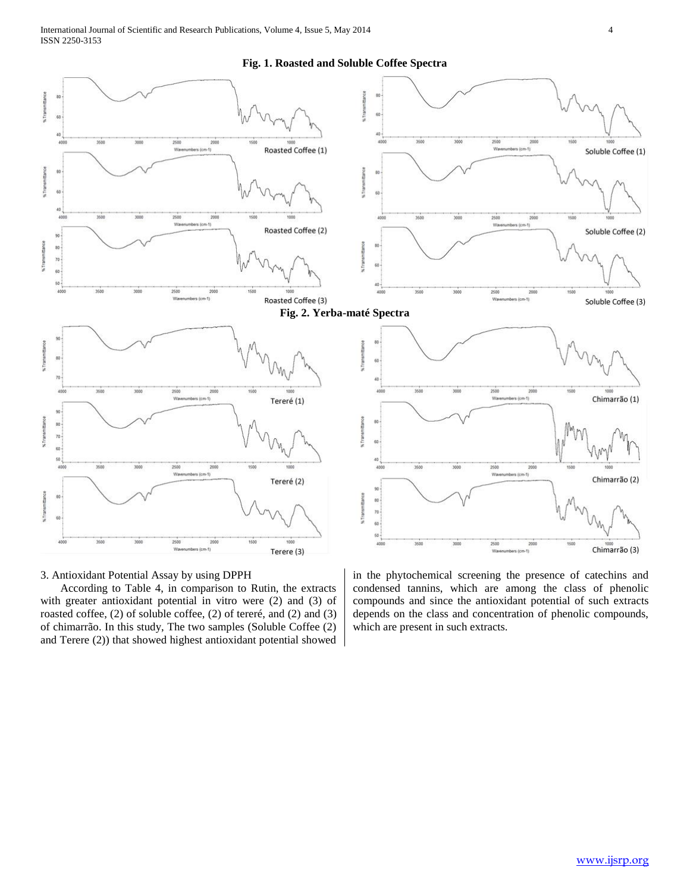#### **Fig. 1. Roasted and Soluble Coffee Spectra**



## 3. Antioxidant Potential Assay by using DPPH

 According to Table 4, in comparison to Rutin, the extracts with greater antioxidant potential in vitro were (2) and (3) of roasted coffee, (2) of soluble coffee, (2) of tereré, and (2) and (3) of chimarrão. In this study, The two samples (Soluble Coffee (2) and Terere (2)) that showed highest antioxidant potential showed

in the phytochemical screening the presence of catechins and condensed tannins, which are among the class of phenolic compounds and since the antioxidant potential of such extracts depends on the class and concentration of phenolic compounds, which are present in such extracts.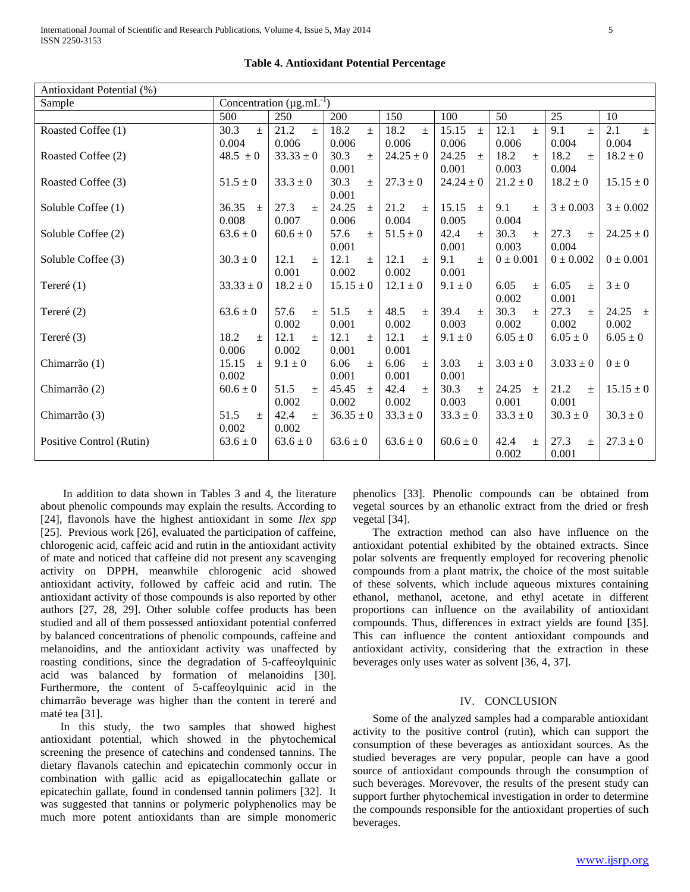| Antioxidant Potential (%) |                |                                 |                |               |                |                |                           |               |
|---------------------------|----------------|---------------------------------|----------------|---------------|----------------|----------------|---------------------------|---------------|
| Sample                    |                | Concentration $(\mu g.mL^{-1})$ |                |               |                |                |                           |               |
|                           | 500            | 250                             | 200            | 150           | 100            | 50             | 25                        | 10            |
| Roasted Coffee (1)        | 30.3<br>$\pm$  | 21.2<br>$+$                     | 18.2<br>$\pm$  | 18.2<br>$\pm$ | 15.15<br>$\pm$ | 12.1<br>$\pm$  | $\overline{9.1}$<br>$\pm$ | 2.1<br>$\pm$  |
|                           | 0.004          | 0.006                           | 0.006          | 0.006         | 0.006          | 0.006          | 0.004                     | 0.004         |
| Roasted Coffee (2)        | $48.5 \pm 0$   | $33.33 \pm 0$                   | 30.3<br>$\pm$  | $24.25 \pm 0$ | 24.25<br>$\pm$ | 18.2<br>$\pm$  | 18.2<br>$\pm$             | $18.2 \pm 0$  |
|                           |                |                                 | 0.001          |               | 0.001          | 0.003          | 0.004                     |               |
| Roasted Coffee (3)        | $51.5 \pm 0$   | $33.3 \pm 0$                    | 30.3<br>$\pm$  | $27.3 \pm 0$  | $24.24 \pm 0$  | $21.2 \pm 0$   | $18.2 \pm 0$              | $15.15 \pm 0$ |
|                           |                |                                 | 0.001          |               |                |                |                           |               |
| Soluble Coffee (1)        | 36.35<br>$\pm$ | 27.3<br>$\pm$                   | 24.25<br>$\pm$ | 21.2<br>$\pm$ | 15.15<br>$\pm$ | 9.1<br>$\pm$   | $3 \pm 0.003$             | $3 \pm 0.002$ |
|                           | 0.008          | 0.007                           | 0.006          | 0.004         | 0.005          | 0.004          |                           |               |
| Soluble Coffee (2)        | $63.6 \pm 0$   | $60.6 \pm 0$                    | 57.6<br>$\pm$  | $51.5 \pm 0$  | 42.4<br>$\pm$  | 30.3<br>$\pm$  | 27.3<br>$\pm$             | $24.25 \pm 0$ |
|                           |                |                                 | 0.001          |               | 0.001          | 0.003          | 0.004                     |               |
| Soluble Coffee (3)        | $30.3 \pm 0$   | 12.1<br>$\pm$                   | 12.1<br>$+$    | 12.1<br>$\pm$ | 9.1<br>$\pm$   | $0 \pm 0.001$  | $0 \pm 0.002$             | $0 \pm 0.001$ |
|                           |                | 0.001                           | 0.002          | 0.002         | 0.001          |                |                           |               |
| Tereré $(1)$              | $33.33 \pm 0$  | $18.2 \pm 0$                    | $15.15 \pm 0$  | $12.1 \pm 0$  | $9.1 \pm 0$    | 6.05<br>$\pm$  | 6.05<br>$\pm$             | $3 \pm 0$     |
|                           |                |                                 |                |               |                | 0.002          | 0.001                     |               |
| Tereré $(2)$              | $63.6 \pm 0$   | 57.6<br>$\pm$                   | 51.5<br>$\pm$  | 48.5<br>$\pm$ | 39.4<br>$\pm$  | 30.3<br>$\pm$  | 27.3<br>$\pm$             | 24.25 $\pm$   |
|                           |                | 0.002                           | 0.001          | 0.002         | 0.003          | 0.002          | 0.002                     | 0.002         |
| Tereré (3)                | 18.2<br>$\pm$  | 12.1<br>$+$                     | 12.1<br>$\pm$  | 12.1<br>$\pm$ | $9.1 \pm 0$    | $6.05 \pm 0$   | $6.05 \pm 0$              | $6.05 \pm 0$  |
|                           | 0.006          | 0.002                           | 0.001          | 0.001         |                |                |                           |               |
| Chimarrão (1)             | 15.15<br>$\pm$ | $9.1 \pm 0$                     | 6.06<br>$\pm$  | 6.06<br>$\pm$ | 3.03<br>$+$    | $3.03 \pm 0$   | $3.033 \pm 0$             | $0\pm 0$      |
|                           | 0.002          |                                 | 0.001          | 0.001         | 0.001          |                |                           |               |
| Chimarrão (2)             | $60.6 \pm 0$   | 51.5<br>$\pm$                   | 45.45<br>$\pm$ | 42.4<br>土     | 30.3<br>$+$    | 24.25<br>$\pm$ | 21.2<br>$\pm$             | $15.15 \pm 0$ |
|                           |                | 0.002                           | 0.002          | 0.002         | 0.003          | 0.001          | 0.001                     |               |
| Chimarrão (3)             | 51.5<br>$\pm$  | 42.4<br>$\pm$                   | $36.35 \pm 0$  | $33.3 \pm 0$  | $33.3 \pm 0$   | $33.3 \pm 0$   | $30.3 \pm 0$              | $30.3 \pm 0$  |
|                           | 0.002          | 0.002                           |                |               |                |                |                           |               |
| Positive Control (Rutin)  | $63.6 \pm 0$   | $63.6 \pm 0$                    | $63.6 \pm 0$   | $63.6 \pm 0$  | $60.6 \pm 0$   | 42.4<br>$\pm$  | 27.3<br>$\pm$             | $27.3 \pm 0$  |
|                           |                |                                 |                |               |                | 0.002          | 0.001                     |               |

**Table 4. Antioxidant Potential Percentage**

 In addition to data shown in Tables 3 and 4, the literature about phenolic compounds may explain the results. According to [24], flavonols have the highest antioxidant in some *Ilex spp* [25]. Previous work [26], evaluated the participation of caffeine, chlorogenic acid, caffeic acid and rutin in the antioxidant activity of mate and noticed that caffeine did not present any scavenging activity on DPPH, meanwhile chlorogenic acid showed antioxidant activity, followed by caffeic acid and rutin. The antioxidant activity of those compounds is also reported by other authors [27, 28, 29]. Other soluble coffee products has been studied and all of them possessed antioxidant potential conferred by balanced concentrations of phenolic compounds, caffeine and melanoidins, and the antioxidant activity was unaffected by roasting conditions, since the degradation of 5-caffeoylquinic acid was balanced by formation of melanoidins [30]. Furthermore, the content of 5-caffeoylquinic acid in the chimarrão beverage was higher than the content in tereré and maté tea [31].

 In this study, the two samples that showed highest antioxidant potential, which showed in the phytochemical screening the presence of catechins and condensed tannins. The dietary flavanols catechin and epicatechin commonly occur in combination with gallic acid as epigallocatechin gallate or epicatechin gallate, found in condensed tannin polimers [32]. It was suggested that tannins or polymeric polyphenolics may be much more potent antioxidants than are simple monomeric

phenolics [33]. Phenolic compounds can be obtained from vegetal sources by an ethanolic extract from the dried or fresh vegetal [34].

 The extraction method can also have influence on the antioxidant potential exhibited by the obtained extracts. Since polar solvents are frequently employed for recovering phenolic compounds from a plant matrix, the choice of the most suitable of these solvents, which include aqueous mixtures containing ethanol, methanol, acetone, and ethyl acetate in different proportions can influence on the availability of antioxidant compounds. Thus, differences in extract yields are found [35]. This can influence the content antioxidant compounds and antioxidant activity, considering that the extraction in these beverages only uses water as solvent [36, 4, 37].

## IV. CONCLUSION

 Some of the analyzed samples had a comparable antioxidant activity to the positive control (rutin), which can support the consumption of these beverages as antioxidant sources. As the studied beverages are very popular, people can have a good source of antioxidant compounds through the consumption of such beverages. Morevover, the results of the present study can support further phytochemical investigation in order to determine the compounds responsible for the antioxidant properties of such beverages.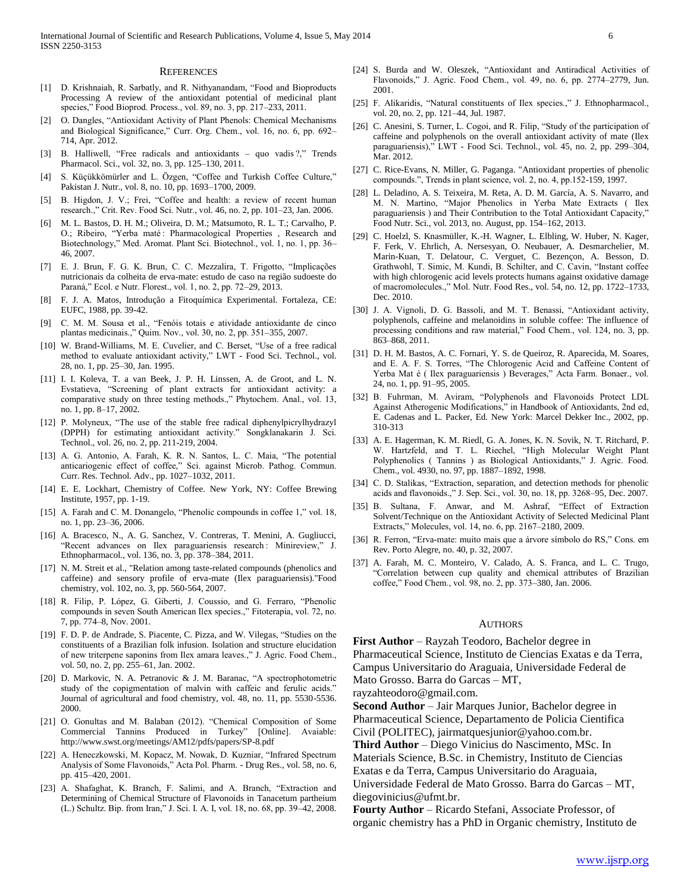#### **REFERENCES**

- [1] D. Krishnaiah, R. Sarbatly, and R. Nithyanandam, "Food and Bioproducts Processing A review of the antioxidant potential of medicinal plant species," Food Bioprod. Process., vol. 89, no. 3, pp. 217–233, 2011.
- [2] O. Dangles, "Antioxidant Activity of Plant Phenols: Chemical Mechanisms and Biological Significance," Curr. Org. Chem., vol. 16, no. 6, pp. 692– 714, Apr. 2012.
- [3] B. Halliwell, "Free radicals and antioxidants quo vadis ?," Trends Pharmacol. Sci., vol. 32, no. 3, pp. 125–130, 2011.
- [4] S. Küçükkömürler and L. Özgen, "Coffee and Turkish Coffee Culture," Pakistan J. Nutr., vol. 8, no. 10, pp. 1693–1700, 2009.
- [5] B. Higdon, J. V.; Frei, "Coffee and health: a review of recent human research.," Crit. Rev. Food Sci. Nutr., vol. 46, no. 2, pp. 101–23, Jan. 2006.
- [6] M. L. Bastos, D. H. M.; Oliveira, D. M.; Matsumoto, R. L. T.; Carvalho, P. O.; Ribeiro, "Yerba maté : Pharmacological Properties , Research and Biotechnology," Med. Aromat. Plant Sci. Biotechnol., vol. 1, no. 1, pp. 36– 46, 2007.
- [7] E. J. Brun, F. G. K. Brun, C. C. Mezzalira, T. Frigotto, "Implicações nutricionais da colheita de erva-mate: estudo de caso na região sudoeste do Paraná," Ecol. e Nutr. Florest., vol. 1, no. 2, pp. 72–29, 2013.
- [8] F. J. A. Matos, Introdução a Fitoquímica Experimental. Fortaleza, CE: EUFC, 1988, pp. 39-42.
- [9] C. M. M. Sousa et al., "Fenóis totais e atividade antioxidante de cinco plantas medicinais.," Quim. Nov., vol. 30, no. 2, pp. 351–355, 2007.
- [10] W. Brand-Williams, M. E. Cuvelier, and C. Berset, "Use of a free radical method to evaluate antioxidant activity," LWT - Food Sci. Technol., vol. 28, no. 1, pp. 25–30, Jan. 1995.
- [11] I. I. Koleva, T. a van Beek, J. P. H. Linssen, A. de Groot, and L. N. Evstatieva, "Screening of plant extracts for antioxidant activity: a comparative study on three testing methods.," Phytochem. Anal., vol. 13, no. 1, pp. 8–17, 2002.
- [12] P. Molyneux, "The use of the stable free radical diphenylpicrylhydrazyl (DPPH) for estimating antioxidant activity." Songklanakarin J. Sci. Technol., vol. 26, no. 2, pp. 211-219, 2004.
- [13] A. G. Antonio, A. Farah, K. R. N. Santos, L. C. Maia, "The potential anticariogenic effect of coffee," Sci. against Microb. Pathog. Commun. Curr. Res. Technol. Adv., pp. 1027–1032, 2011.
- [14] E. E. Lockhart, Chemistry of Coffee. New York, NY: Coffee Brewing Institute, 1957, pp. 1-19.
- [15] A. Farah and C. M. Donangelo, "Phenolic compounds in coffee 1," vol. 18, no. 1, pp. 23–36, 2006.
- [16] A. Bracesco, N., A. G. Sanchez, V. Contreras, T. Menini, A. Gugliucci, "Recent advances on Ilex paraguariensis research : Minireview," J. Ethnopharmacol., vol. 136, no. 3, pp. 378–384, 2011.
- [17] N. M. Streit et al., "Relation among taste-related compounds (phenolics and caffeine) and sensory profile of erva-mate (Ilex paraguariensis)."Food chemistry, vol. 102, no. 3, pp. 560-564, 2007.
- [18] R. Filip, P. López, G. Giberti, J. Coussio, and G. Ferraro, "Phenolic compounds in seven South American Ilex species.," Fitoterapia, vol. 72, no. 7, pp. 774–8, Nov. 2001.
- [19] F. D. P. de Andrade, S. Piacente, C. Pizza, and W. Vilegas, "Studies on the constituents of a Brazilian folk infusion. Isolation and structure elucidation of new triterpene saponins from Ilex amara leaves.," J. Agric. Food Chem., vol. 50, no. 2, pp. 255–61, Jan. 2002.
- [20] D. Markovic, N. A. Petranovic & J. M. Baranac, "A spectrophotometric study of the copigmentation of malvin with caffeic and ferulic acids." Journal of agricultural and food chemistry, vol. 48, no. 11, pp. 5530-5536. 2000.
- [21] O. Gonultas and M. Balaban (2012). "Chemical Composition of Some Commercial Tannins Produced in Turkey" [Online]. Avaiable: http://www.swst.org/meetings/AM12/pdfs/papers/SP-8.pdf
- [22] A. Heneczkowski, M. Kopacz, M. Nowak, D. Kuzniar, "Infrared Spectrum Analysis of Some Flavonoids," Acta Pol. Pharm. - Drug Res., vol. 58, no. 6, pp. 415–420, 2001.
- [23] A. Shafaghat, K. Branch, F. Salimi, and A. Branch, "Extraction and Determining of Chemical Structure of Flavonoids in Tanacetum partheium (L.) Schultz. Bip. from Iran," J. Sci. I. A. I, vol. 18, no. 68, pp. 39–42, 2008.
- [24] S. Burda and W. Oleszek, "Antioxidant and Antiradical Activities of Flavonoids," J. Agric. Food Chem., vol. 49, no. 6, pp. 2774–2779, Jun. 2001.
- [25] F. Alikaridis, "Natural constituents of Ilex species.," J. Ethnopharmacol., vol. 20, no. 2, pp. 121–44, Jul. 1987.
- [26] C. Anesini, S. Turner, L. Cogoi, and R. Filip, "Study of the participation of caffeine and polyphenols on the overall antioxidant activity of mate (Ilex paraguariensis)," LWT - Food Sci. Technol., vol. 45, no. 2, pp. 299–304, Mar. 2012.
- [27] C. Rice-Evans, N. Miller, G. Paganga. "Antioxidant properties of phenolic compounds.", Trends in plant science, vol. 2, no. 4, pp.152-159, 1997.
- [28] L. Deladino, A. S. Teixeira, M. Reta, A. D. M. García, A. S. Navarro, and M. N. Martino, "Major Phenolics in Yerba Mate Extracts ( Ilex paraguariensis ) and Their Contribution to the Total Antioxidant Capacity," Food Nutr. Sci., vol. 2013, no. August, pp. 154–162, 2013.
- [29] C. Hoelzl, S. Knasmüller, K.-H. Wagner, L. Elbling, W. Huber, N. Kager, F. Ferk, V. Ehrlich, A. Nersesyan, O. Neubauer, A. Desmarchelier, M. Marin-Kuan, T. Delatour, C. Verguet, C. Bezençon, A. Besson, D. Grathwohl, T. Simic, M. Kundi, B. Schilter, and C. Cavin, "Instant coffee with high chlorogenic acid levels protects humans against oxidative damage of macromolecules.," Mol. Nutr. Food Res., vol. 54, no. 12, pp. 1722–1733, Dec. 2010.
- [30] J. A. Vignoli, D. G. Bassoli, and M. T. Benassi, "Antioxidant activity, polyphenols, caffeine and melanoidins in soluble coffee: The influence of processing conditions and raw material," Food Chem., vol. 124, no. 3, pp. 863–868, 2011.
- [31] D. H. M. Bastos, A. C. Fornari, Y. S. de Queiroz, R. Aparecida, M. Soares, and E. A. F. S. Torres, "The Chlorogenic Acid and Caffeine Content of Yerba Mat é ( Ilex paraguariensis ) Beverages," Acta Farm. Bonaer., vol. 24, no. 1, pp. 91–95, 2005.
- [32] B. Fuhrman, M. Aviram, "Polyphenols and Flavonoids Protect LDL Against Atherogenic Modifications," in Handbook of Antioxidants, 2nd ed, E. Cadenas and L. Packer, Ed. New York: Marcel Dekker Inc., 2002, pp. 310-313
- [33] A. E. Hagerman, K. M. Riedl, G. A. Jones, K. N. Sovik, N. T. Ritchard, P. W. Hartzfeld, and T. L. Riechel, "High Molecular Weight Plant Polyphenolics ( Tannins ) as Biological Antioxidants," J. Agric. Food. Chem., vol. 4930, no. 97, pp. 1887–1892, 1998.
- [34] C. D. Stalikas, "Extraction, separation, and detection methods for phenolic acids and flavonoids.," J. Sep. Sci., vol. 30, no. 18, pp. 3268–95, Dec. 2007.
- [35] B. Sultana, F. Anwar, and M. Ashraf, "Effect of Extraction Solvent/Technique on the Antioxidant Activity of Selected Medicinal Plant Extracts," Molecules, vol. 14, no. 6, pp. 2167–2180, 2009.
- [36] R. Ferron, "Erva-mate: muito mais que a árvore símbolo do RS," Cons. em Rev. Porto Alegre, no. 40, p. 32, 2007.
- [37] A. Farah, M. C. Monteiro, V. Calado, A. S. Franca, and L. C. Trugo, "Correlation between cup quality and chemical attributes of Brazilian coffee," Food Chem., vol. 98, no. 2, pp. 373–380, Jan. 2006.

#### AUTHORS

**First Author** – Rayzah Teodoro, Bachelor degree in Pharmaceutical Science, Instituto de Ciencias Exatas e da Terra, Campus Universitario do Araguaia, Universidade Federal de Mato Grosso. Barra do Garcas – MT,

rayzahteodoro@gmail.com.

**Second Author** – Jair Marques Junior, Bachelor degree in Pharmaceutical Science, Departamento de Policia Cientifica Civil (POLITEC), jairmatquesjunior@yahoo.com.br.

**Third Author** – Diego Vinicius do Nascimento, MSc. In Materials Science, B.Sc. in Chemistry, Instituto de Ciencias Exatas e da Terra, Campus Universitario do Araguaia, Universidade Federal de Mato Grosso. Barra do Garcas – MT, diegovinicius@ufmt.br.

**Fourty Author** – Ricardo Stefani, Associate Professor, of organic chemistry has a PhD in Organic chemistry, Instituto de